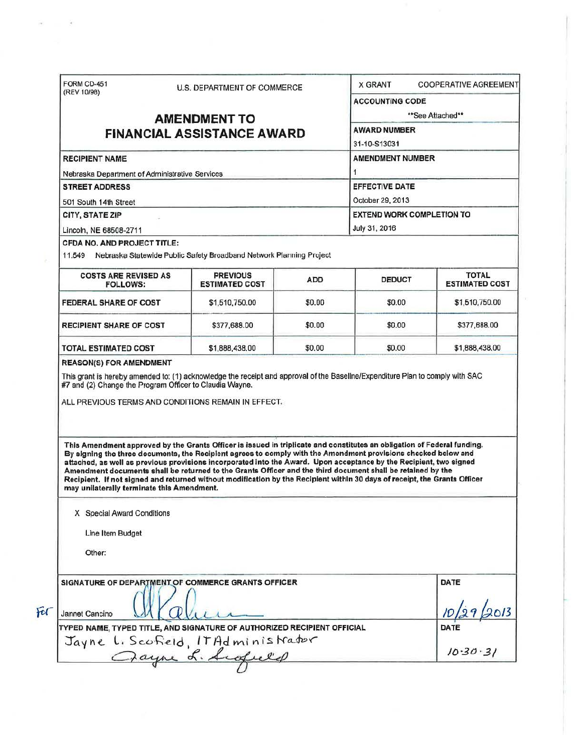| FORM CD-451<br>(REV 10/98)                                                                                                                                             |  | U.S. DEPARTMENT OF COMMERCE                                                                                                                                                                                                                                                                                                                                                                                                                                                                                                                                                                                 |            | <b>X GRANT</b>                                                                                            | <b>COOPERATIVE AGREEMENT</b> |  |                                    |  |                                                                            |  |                                  |              |  |
|------------------------------------------------------------------------------------------------------------------------------------------------------------------------|--|-------------------------------------------------------------------------------------------------------------------------------------------------------------------------------------------------------------------------------------------------------------------------------------------------------------------------------------------------------------------------------------------------------------------------------------------------------------------------------------------------------------------------------------------------------------------------------------------------------------|------------|-----------------------------------------------------------------------------------------------------------|------------------------------|--|------------------------------------|--|----------------------------------------------------------------------------|--|----------------------------------|--------------|--|
|                                                                                                                                                                        |  |                                                                                                                                                                                                                                                                                                                                                                                                                                                                                                                                                                                                             |            | <b>ACCOUNTING CODE</b>                                                                                    |                              |  |                                    |  |                                                                            |  |                                  |              |  |
|                                                                                                                                                                        |  | <b>AMENDMENT TO</b>                                                                                                                                                                                                                                                                                                                                                                                                                                                                                                                                                                                         |            |                                                                                                           | **See Attached**             |  |                                    |  |                                                                            |  |                                  |              |  |
| <b>FINANCIAL ASSISTANCE AWARD</b><br><b>RECIPIENT NAME</b><br>Nebraska Department of Administrative Services<br><b>STREET ADDRESS</b><br>501 South 14th Street         |  |                                                                                                                                                                                                                                                                                                                                                                                                                                                                                                                                                                                                             |            | <b>AWARD NUMBER</b><br>31-10-S13031<br><b>AMENDMENT NUMBER</b><br>1<br>EFFECTIVE DATE<br>October 29, 2013 |                              |  |                                    |  |                                                                            |  |                                  |              |  |
|                                                                                                                                                                        |  |                                                                                                                                                                                                                                                                                                                                                                                                                                                                                                                                                                                                             |            |                                                                                                           |                              |  | CITY, STATE ZIP                    |  |                                                                            |  | <b>EXTEND WORK COMPLETION TO</b> |              |  |
|                                                                                                                                                                        |  |                                                                                                                                                                                                                                                                                                                                                                                                                                                                                                                                                                                                             |            |                                                                                                           |                              |  | Lincoln, NE 68508-2711             |  |                                                                            |  | July 31, 2016                    |              |  |
|                                                                                                                                                                        |  |                                                                                                                                                                                                                                                                                                                                                                                                                                                                                                                                                                                                             |            |                                                                                                           |                              |  | <b>CFDA NO. AND PROJECT TITLE:</b> |  |                                                                            |  |                                  |              |  |
|                                                                                                                                                                        |  |                                                                                                                                                                                                                                                                                                                                                                                                                                                                                                                                                                                                             |            |                                                                                                           |                              |  |                                    |  | 11,549 Nebraska Statewide Public Safety Broadband Network Planning Project |  |                                  |              |  |
|                                                                                                                                                                        |  |                                                                                                                                                                                                                                                                                                                                                                                                                                                                                                                                                                                                             |            |                                                                                                           |                              |  | <b>COSTS ARE REVISED AS</b>        |  | <b>PREVIOUS</b>                                                            |  |                                  | <b>TOTAL</b> |  |
| <b>FOLLOWS:</b>                                                                                                                                                        |  | <b>ESTIMATED COST</b>                                                                                                                                                                                                                                                                                                                                                                                                                                                                                                                                                                                       | <b>ADD</b> | <b>DEDUCT</b>                                                                                             | <b>ESTIMATED COST</b>        |  |                                    |  |                                                                            |  |                                  |              |  |
| FEDERAL SHARE OF COST                                                                                                                                                  |  | \$1,510,750.00                                                                                                                                                                                                                                                                                                                                                                                                                                                                                                                                                                                              | \$0.00     | \$0.00                                                                                                    | \$1,510,750.00               |  |                                    |  |                                                                            |  |                                  |              |  |
| <b>RECIPIENT SHARE OF COST</b>                                                                                                                                         |  | \$377,688.00                                                                                                                                                                                                                                                                                                                                                                                                                                                                                                                                                                                                | \$0.00     | \$0.00                                                                                                    | \$377,688.00                 |  |                                    |  |                                                                            |  |                                  |              |  |
|                                                                                                                                                                        |  |                                                                                                                                                                                                                                                                                                                                                                                                                                                                                                                                                                                                             |            |                                                                                                           |                              |  |                                    |  |                                                                            |  |                                  |              |  |
|                                                                                                                                                                        |  | \$1,888,438.00<br>This grant is hereby amended to: (1) acknowledge the receipt and approval of the Baseline/Expenditure Plan to comply with SAC<br>ALL PREVIOUS TERMS AND CONDITIONS REMAIN IN EFFECT.                                                                                                                                                                                                                                                                                                                                                                                                      | \$0.00     | \$0.00                                                                                                    | \$1,888,438.00               |  |                                    |  |                                                                            |  |                                  |              |  |
| <b>TOTAL ESTIMATED COST</b><br><b>REASON(S) FOR AMENDMENT</b><br>#7 and (2) Change the Program Officer to Claudia Wayne.<br>may unilaterally terminate this Amendment. |  | This Amendment approved by the Grants Officer is issued in triplicate and constitutes an obligation of Federal funding.<br>By signing the three documents, the Recipient agrees to comply with the Amendment provisions checked below and<br>attached, as well as previous provisions incorporated into the Award. Upon acceptance by the Recipient, two signed<br>Amendment documents shall be returned to the Grants Officer and the third document shall be retained by the<br>Recipient. If not signed and returned without modification by the Recipient within 30 days of receipt, the Grants Officer |            |                                                                                                           |                              |  |                                    |  |                                                                            |  |                                  |              |  |
| X Special Award Conditions                                                                                                                                             |  |                                                                                                                                                                                                                                                                                                                                                                                                                                                                                                                                                                                                             |            |                                                                                                           |                              |  |                                    |  |                                                                            |  |                                  |              |  |
|                                                                                                                                                                        |  |                                                                                                                                                                                                                                                                                                                                                                                                                                                                                                                                                                                                             |            |                                                                                                           |                              |  |                                    |  |                                                                            |  |                                  |              |  |
| Line Item Budget                                                                                                                                                       |  |                                                                                                                                                                                                                                                                                                                                                                                                                                                                                                                                                                                                             |            |                                                                                                           |                              |  |                                    |  |                                                                            |  |                                  |              |  |
| Other:                                                                                                                                                                 |  |                                                                                                                                                                                                                                                                                                                                                                                                                                                                                                                                                                                                             |            |                                                                                                           |                              |  |                                    |  |                                                                            |  |                                  |              |  |
|                                                                                                                                                                        |  | SIGNATURE OF DEPARTMENT OF COMMERCE GRANTS OFFICER                                                                                                                                                                                                                                                                                                                                                                                                                                                                                                                                                          |            |                                                                                                           | DATE                         |  |                                    |  |                                                                            |  |                                  |              |  |
| Jannet Cancino                                                                                                                                                         |  |                                                                                                                                                                                                                                                                                                                                                                                                                                                                                                                                                                                                             |            |                                                                                                           |                              |  |                                    |  |                                                                            |  |                                  |              |  |
|                                                                                                                                                                        |  |                                                                                                                                                                                                                                                                                                                                                                                                                                                                                                                                                                                                             |            |                                                                                                           | <b>DATE</b>                  |  |                                    |  |                                                                            |  |                                  |              |  |
|                                                                                                                                                                        |  | TYPED NAME, TYPED TITLE, AND SIGNATURE OF AUTHORIZED RECIPIENT OFFICIAL<br>Jayne L. Scofield, ITAdministrator                                                                                                                                                                                                                                                                                                                                                                                                                                                                                               |            |                                                                                                           |                              |  |                                    |  |                                                                            |  |                                  |              |  |